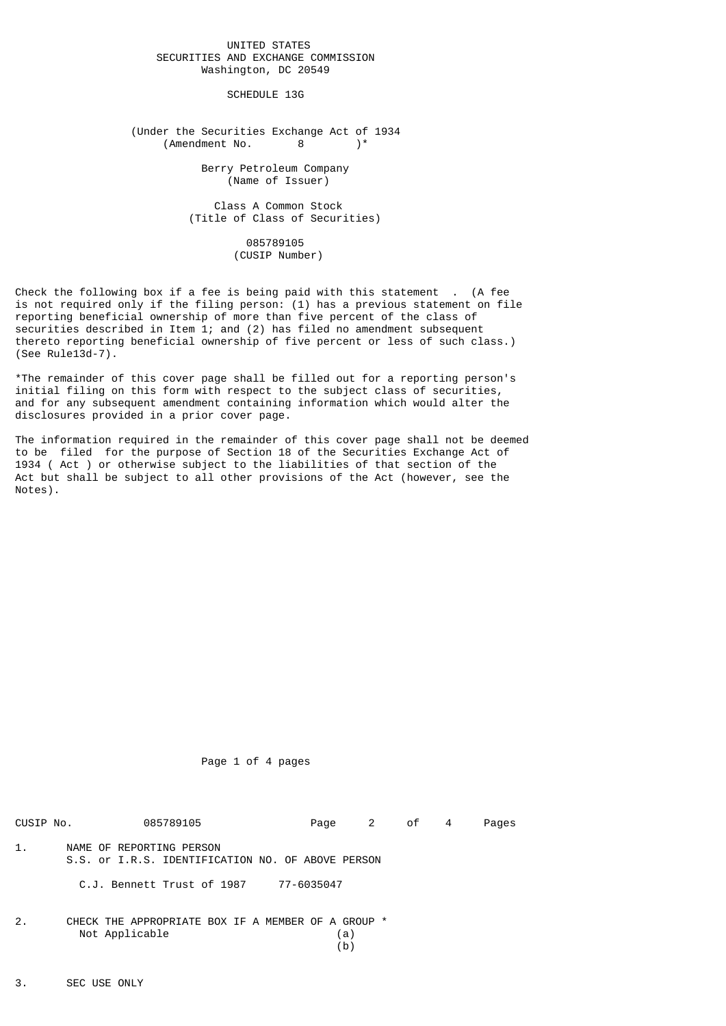## UNITED STATES SECURITIES AND EXCHANGE COMMISSION Washington, DC 20549

SCHEDULE 13G

(Under the Securities Exchange Act of 1934<br>(Amendment No.  $8$ )\* (Amendment No.

> Berry Petroleum Company (Name of Issuer)

 Class A Common Stock (Title of Class of Securities)

> 085789105 (CUSIP Number)

Check the following box if a fee is being paid with this statement . (A fee is not required only if the filing person:  $(1)$  has a previous statement on file reporting beneficial ownership of more than five percent of the class of securities described in Item 1; and (2) has filed no amendment subsequent thereto reporting beneficial ownership of five percent or less of such class.) (See Rule13d-7).

\*The remainder of this cover page shall be filled out for a reporting person's initial filing on this form with respect to the subject class of securities, and for any subsequent amendment containing information which would alter the disclosures provided in a prior cover page.

The information required in the remainder of this cover page shall not be deemed to be filed for the purpose of Section 18 of the Securities Exchange Act of 1934 ( Act ) or otherwise subject to the liabilities of that section of the Act but shall be subject to all other provisions of the Act (however, see the Notes).

Page 1 of 4 pages

| CUSIP No. | 085789105                                                                     | Page       | 2 of | 4 | Pages |
|-----------|-------------------------------------------------------------------------------|------------|------|---|-------|
|           | NAME OF REPORTING PERSON<br>S.S. or I.R.S. IDENTIFICATION NO. OF ABOVE PERSON |            |      |   |       |
|           | C.J. Bennett Trust of 1987                                                    | 77-6035047 |      |   |       |
| 2.        | CHECK THE APPROPRIATE BOX IF A MEMBER OF A GROUP *<br>Not Applicable          | (a)<br>(b) |      |   |       |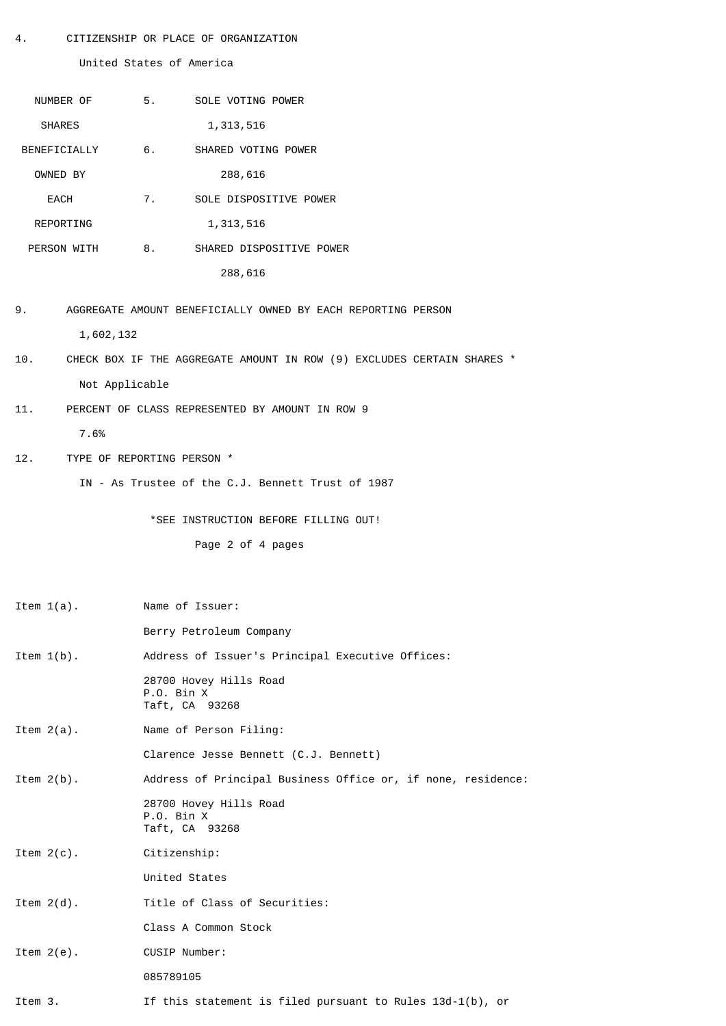4. CITIZENSHIP OR PLACE OF ORGANIZATION

United States of America

| NUMBER OF          | 5. | SOLE VOTING POWER        |
|--------------------|----|--------------------------|
| <b>SHARES</b>      |    | 1,313,516                |
| BENEFICIALLY       | 6. | SHARED VOTING POWER      |
| OWNED BY           |    | 288,616                  |
| <b>FACH</b>        | 7. | SOLE DISPOSITIVE POWER   |
| REPORTING          |    | 1,313,516                |
| <b>PERSON WITH</b> | 8. | SHARED DISPOSITIVE POWER |
|                    |    | 288,616                  |
|                    |    |                          |

- 9. AGGREGATE AMOUNT BENEFICIALLY OWNED BY EACH REPORTING PERSON 1,602,132
- 10. CHECK BOX IF THE AGGREGATE AMOUNT IN ROW (9) EXCLUDES CERTAIN SHARES \* Not Applicable
- 11. PERCENT OF CLASS REPRESENTED BY AMOUNT IN ROW 9

## 7.6%

- 12. TYPE OF REPORTING PERSON \*
	- IN As Trustee of the C.J. Bennett Trust of 1987

\*SEE INSTRUCTION BEFORE FILLING OUT!

Page 2 of 4 pages

| Item $1(a)$ . | Name of Issuer:                                              |
|---------------|--------------------------------------------------------------|
|               | Berry Petroleum Company                                      |
| Item $1(b)$ . | Address of Issuer's Principal Executive Offices:             |
|               | 28700 Hovey Hills Road<br>$P.0.$ Bin $X$<br>Taft, CA 93268   |
| Item $2(a)$ . | Name of Person Filing:                                       |
|               | Clarence Jesse Bennett (C.J. Bennett)                        |
| Item $2(b)$ . | Address of Principal Business Office or, if none, residence: |
|               | 28700 Hovey Hills Road<br>P.O. Bin X<br>Taft, CA 93268       |
| Item $2(c)$ . | Citizenship:                                                 |
|               | United States                                                |
| Item $2(d)$ . | Title of Class of Securities:                                |
|               | Class A Common Stock                                         |
| Item $2(e)$ . | CUSIP Number:                                                |
|               | 085789105                                                    |
| Item 3.       | If this statement is filed pursuant to Rules $13d-1(b)$ , or |